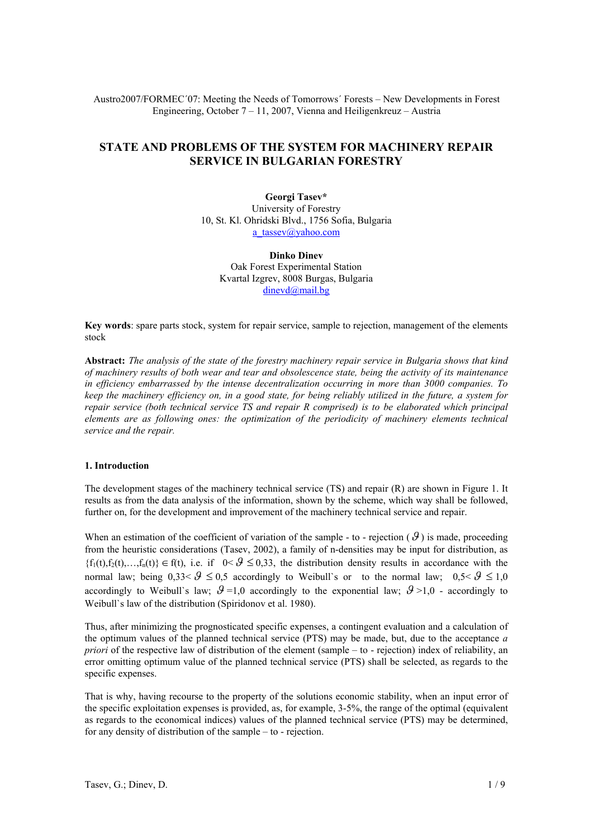Austro2007/FORMEC´07: Meeting the Needs of Tomorrows´ Forests – New Developments in Forest Engineering, October 7 – 11, 2007, Vienna and Heiligenkreuz – Austria

# **STATE AND PROBLEMS OF THE SYSTEM FOR MACHINERY REPAIR SERVICE IN BULGARIAN FORESTRY**

**Georgi Tasev\*** University of Forestry 10, St. Kl. Ohridski Blvd., 1756 Sofia, Bulgaria a\_tassev@yahoo.com

**Dinko Dinev**  Oak Forest Experimental Station Kvartal Izgrev, 8008 Burgas, Bulgaria dinevd@mail.bg

**Key words**: spare parts stock, system for repair service, sample to rejection, management of the elements stock

**Abstract:** *The analysis of the state of the forestry machinery repair service in Bulgaria shows that kind of machinery results of both wear and tear and obsolescence state, being the activity of its maintenance in efficiency embarrassed by the intense decentralization occurring in more than 3000 companies. To keep the machinery efficiency on, in a good state, for being reliably utilized in the future, a system for repair service (both technical service TS and repair R comprised) is to be elaborated which principal elements are as following ones: the optimization of the periodicity of machinery elements technical service and the repair.* 

# **1. Introduction**

The development stages of the machinery technical service (TS) and repair (R) are shown in Figure 1. It results as from the data analysis of the information, shown by the scheme, which way shall be followed, further on, for the development and improvement of the machinery technical service and repair.

When an estimation of the coefficient of variation of the sample - to - rejection  $(g)$  is made, proceeding from the heuristic considerations (Tasev, 2002), a family of n-densities may be input for distribution, as  ${f_1(t),f_2(t),...,f_n(t)} \in f(t)$ , i.e. if  $0 < \mathcal{G} \le 0.33$ , the distribution density results in accordance with the normal law; being  $0,33 < \theta \le 0.5$  accordingly to Weibull's or to the normal law;  $0.5 < \theta \le 1.0$ accordingly to Weibull's law;  $\mathcal{G} = 1,0$  accordingly to the exponential law;  $\mathcal{G} > 1,0$  - accordingly to Weibull`s law of the distribution (Spiridonov et al. 1980).

Thus, after minimizing the prognosticated specific expenses, a contingent evaluation and a calculation of the optimum values of the planned technical service (PTS) may be made, but, due to the acceptance *a priori* of the respective law of distribution of the element (sample – to - rejection) index of reliability, an error omitting optimum value of the planned technical service (PTS) shall be selected, as regards to the specific expenses.

That is why, having recourse to the property of the solutions economic stability, when an input error of the specific exploitation expenses is provided, as, for example, 3-5%, the range of the optimal (equivalent as regards to the economical indices) values of the planned technical service (PTS) may be determined, for any density of distribution of the sample – to - rejection.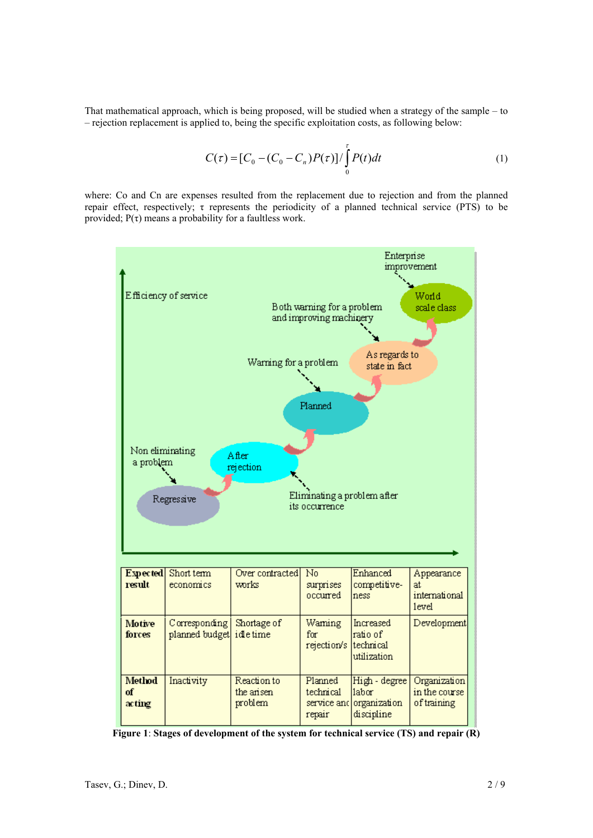That mathematical approach, which is being proposed, will be studied when a strategy of the sample – to – rejection replacement is applied to, being the specific exploitation costs, as following below:

$$
C(\tau) = [C_0 - (C_0 - C_n)P(\tau)] / \int_0^{\tau} P(t)dt
$$
 (1)

where: Co and Cn are expenses resulted from the replacement due to rejection and from the planned repair effect, respectively; τ represents the periodicity of a planned technical service (PTS) to be provided;  $P(\tau)$  means a probability for a faultless work.



**Figure 1**: **Stages of development of the system for technical service (TS) and repair (R)**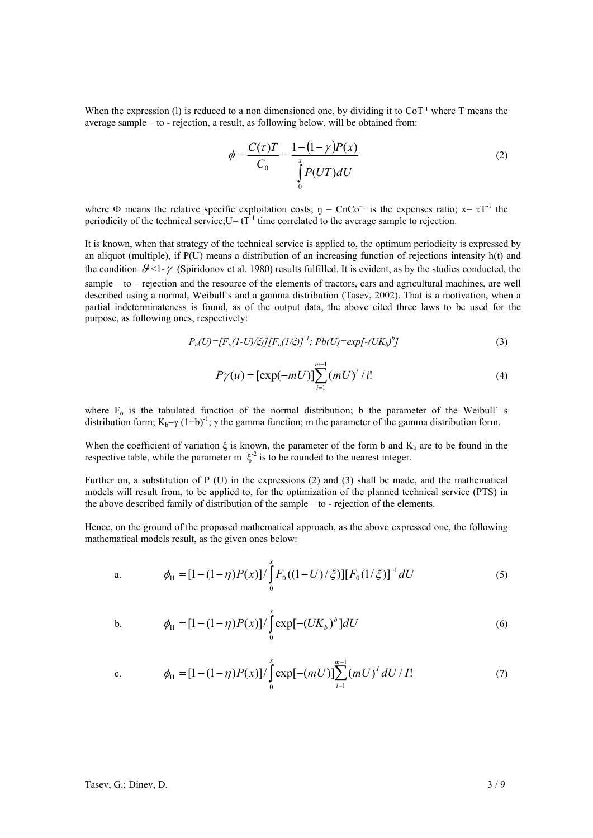When the expression (1) is reduced to a non dimensioned one, by dividing it to  $\text{CoT}^1$  where T means the average sample – to - rejection, a result, as following below, will be obtained from:

$$
\phi = \frac{C(\tau)T}{C_0} = \frac{1 - (1 - \gamma)P(x)}{\int_{0}^{x} P(UT)dU}
$$
\n(2)

where  $\Phi$  means the relative specific exploitation costs;  $\eta = CnCo^{-1}$  is the expenses ratio;  $x = \tau T^{-1}$  the periodicity of the technical service;  $U = tT^{-1}$  time correlated to the average sample to rejection.

It is known, when that strategy of the technical service is applied to, the optimum periodicity is expressed by an aliquot (multiple), if P(U) means a distribution of an increasing function of rejections intensity h(t) and the condition  $\mathcal{G} \leq 1-\gamma$  (Spiridonov et al. 1980) results fulfilled. It is evident, as by the studies conducted, the sample – to – rejection and the resource of the elements of tractors, cars and agricultural machines, are well described using a normal, Weibull`s and a gamma distribution (Tasev, 2002). That is a motivation, when a partial indeterminateness is found, as of the output data, the above cited three laws to be used for the purpose, as following ones, respectively:

$$
P_n(U) = [F_o(1-U)/\zeta][F_o(1/\zeta)]^{-1}; Pb(U) = exp[-(UK_b)^b]
$$
\n(3)

$$
P\gamma(u) = [\exp(-mU)] \sum_{i=1}^{m-1} (mU)^i / i!
$$
 (4)

where  $F_0$  is the tabulated function of the normal distribution; b the parameter of the Weibull` s distribution form;  $K_b = \gamma (1+b)^{-1}$ ;  $\gamma$  the gamma function; m the parameter of the gamma distribution form.

When the coefficient of variation  $\xi$  is known, the parameter of the form b and  $K_b$  are to be found in the respective table, while the parameter  $m = \xi^{-2}$  is to be rounded to the nearest integer.

Further on, a substitution of P (U) in the expressions (2) and (3) shall be made, and the mathematical models will result from, to be applied to, for the optimization of the planned technical service (PTS) in the above described family of distribution of the sample – to - rejection of the elements.

Hence, on the ground of the proposed mathematical approach, as the above expressed one, the following mathematical models result, as the given ones below:

a. 
$$
\phi_{H} = [1 - (1 - \eta)P(x)] / \int_{0}^{x} F_{0}((1 - U)/\zeta)][F_{0}(1/\zeta)]^{-1} dU
$$
 (5)

b. 
$$
\phi_{H} = [1 - (1 - \eta)P(x)] / \int_{0}^{x} \exp[-(UK_{b})^{b}]dU
$$
 (6)

c. 
$$
\phi_H = [1 - (1 - \eta)P(x)] / \int_0^x \exp[-(mU)] \sum_{i=1}^{m-1} (mU)^i dU / I! \qquad (7)
$$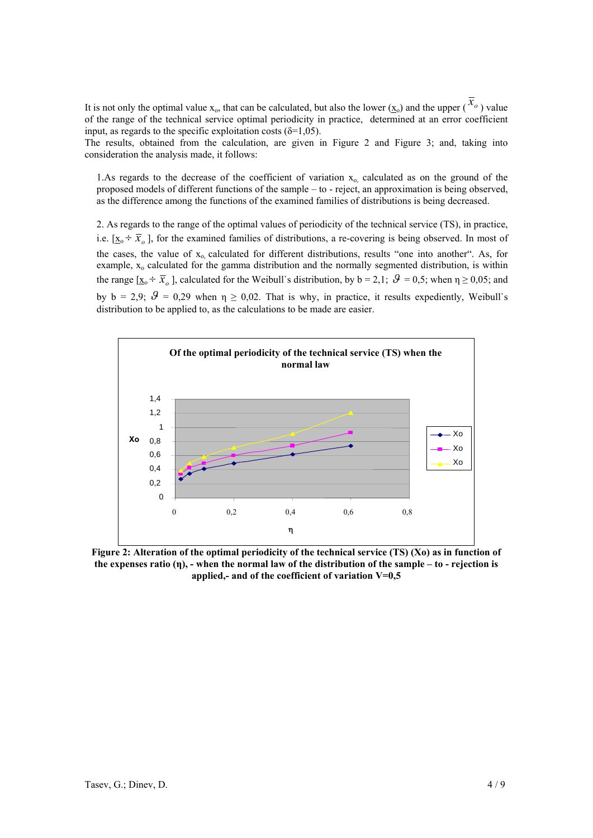It is not only the optimal value  $x_0$ , that can be calculated, but also the lower ( $\underline{x}_0$ ) and the upper ( $\overline{x}_0$ ) value of the range of the technical service optimal periodicity in practice, determined at an error coefficient input, as regards to the specific exploitation costs ( $\delta$ =1,05).

The results, obtained from the calculation, are given in Figure 2 and Figure 3; and, taking into consideration the analysis made, it follows:

1.As regards to the decrease of the coefficient of variation  $x_0$ , calculated as on the ground of the proposed models of different functions of the sample – to - reject, an approximation is being observed, as the difference among the functions of the examined families of distributions is being decreased.

2. As regards to the range of the optimal values of periodicity of the technical service (TS), in practice, i.e.  $[\underline{x}_{0} \div \overline{x}_{0}]$ , for the examined families of distributions, a re-covering is being observed. In most of the cases, the value of  $x_0$  calculated for different distributions, results "one into another". As, for example, x<sub>o</sub> calculated for the gamma distribution and the normally segmented distribution, is within the range  $[\underline{x}_0 \div \overline{x}_a]$ , calculated for the Weibull's distribution, by  $b = 2.1$ ;  $\theta = 0.5$ ; when  $\eta \ge 0.05$ ; and by  $b = 2.9$ ;  $\theta = 0.29$  when  $\eta \ge 0.02$ . That is why, in practice, it results expediently, Weibull's distribution to be applied to, as the calculations to be made are easier.



**Figure 2: Alteration of the optimal periodicity of the technical service (TS) (Xo) as in function of the expenses ratio (η), - when the normal law of the distribution of the sample – to - rejection is applied,- and of the coefficient of variation V=0,5**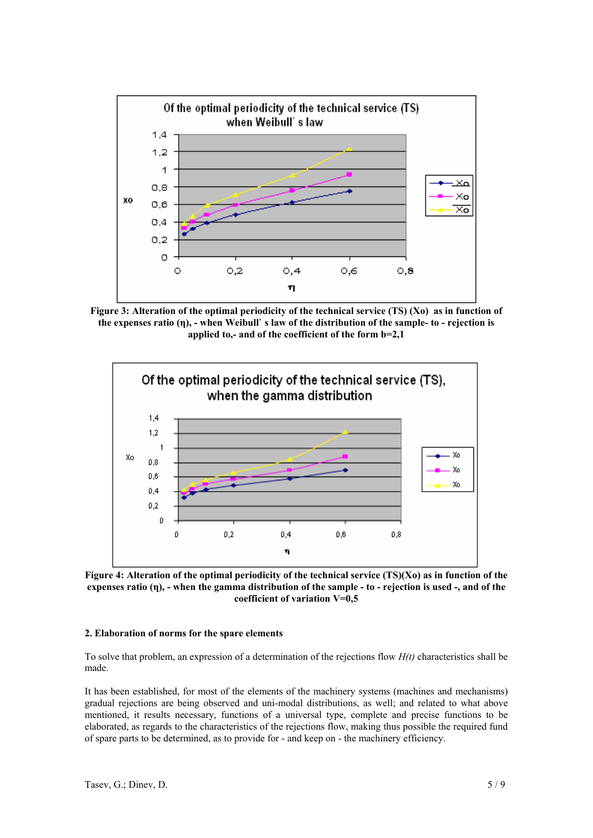

**Figure 3: Alteration of the optimal periodicity of the technical service (TS) (Xo) as in function of the expenses ratio (η), - when Weibull` s law of the distribution of the sample- to - rejection is applied to,- and of the coefficient of the form b=2,1** 



**Figure 4: Alteration of the optimal periodicity of the technical service (ТS)(Xo) as in function of the expenses ratio (η), - when the gamma distribution of the sample - to - rejection is used -, and of the coefficient of variation V=0,5** 

### **2. Elaboration of norms for the spare elements**

To solve that problem, an expression of a determination of the rejections flow *H(t)* characteristics shall be made.

It has been established, for most of the elements of the machinery systems (machines and mechanisms) gradual rejections are being observed and uni-modal distributions, as well; and related to what above mentioned, it results necessary, functions of a universal type, complete and precise functions to be elaborated, as regards to the characteristics of the rejections flow, making thus possible the required fund of spare parts to be determined, as to provide for - and keep on - the machinery efficiency.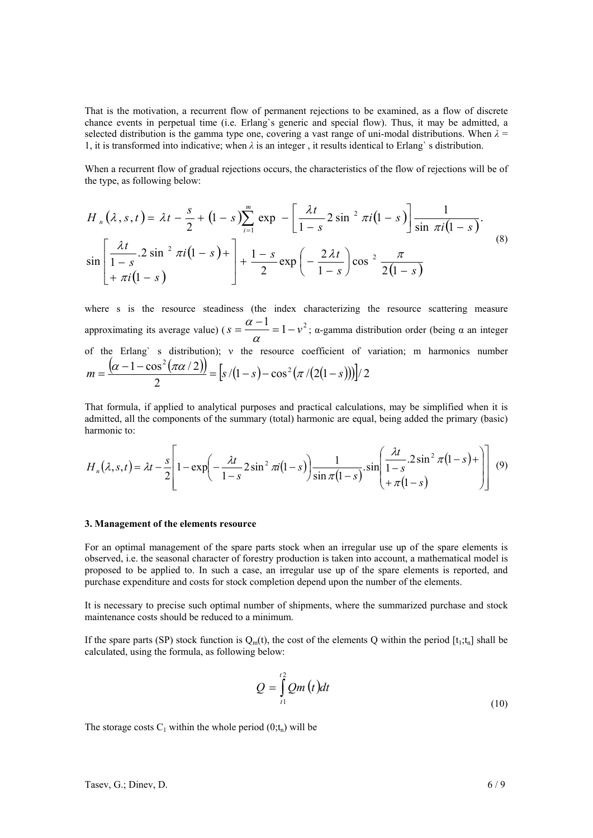That is the motivation, a recurrent flow of permanent rejections to be examined, as a flow of discrete chance events in perpetual time (i.e. Erlang`s generic and special flow). Thus, it may be admitted, a selected distribution is the gamma type one, covering a vast range of uni-modal distributions. When  $\lambda =$ 1, it is transformed into indicative; when *λ* is an integer , it results identical to Erlang` s distribution.

When a recurrent flow of gradual rejections occurs, the characteristics of the flow of rejections will be of the type, as following below:

$$
H_n(\lambda, s, t) = \lambda t - \frac{s}{2} + (1 - s) \sum_{i=1}^m \exp \left[-\frac{\lambda t}{1 - s} 2 \sin^2 \pi i (1 - s)\right] \frac{1}{\sin \pi i (1 - s)}.
$$
  

$$
\sin \left[\frac{\lambda t}{1 - s} \cdot 2 \sin^2 \pi i (1 - s) + \right] + \frac{1 - s}{2} \exp \left(-\frac{2\lambda t}{1 - s}\right) \cos^2 \frac{\pi}{2(1 - s)}.
$$
 (8)

where s is the resource steadiness (the index characterizing the resource scattering measure approximating its average value) ( $s = \frac{\alpha - 1}{\alpha} = 1 - v^2$  $\frac{\alpha-1}{\alpha}$  = 1 –  $v^2$ ;  $\alpha$ -gamma distribution order (being  $\alpha$  an integer of the Erlang` s distribution); ν the resource coefficient of variation; m harmonics number  $\frac{(\alpha-1-\cos^2(\pi\alpha/2))}{(\pi\alpha)(2)} = [s/(1-s)-\cos^2(\pi/(2(1-s)))]/2$ 2  $m = \frac{(\alpha - 1 - \cos^2(\pi \alpha / 2))}{2} = \frac{5}{(1 - s) - \cos^2(\pi / (2(1 - s)))}$ 

That formula, if applied to analytical purposes and practical calculations, may be simplified when it is admitted, all the components of the summary (total) harmonic are equal, being added the primary (basic) harmonic to:

$$
H_n(\lambda, s, t) = \lambda t - \frac{s}{2} \left[ 1 - \exp\left(-\frac{\lambda t}{1-s} 2\sin^2 \pi t (1-s)\right) \frac{1}{\sin \pi (1-s)} \cdot \sin\left(\frac{\lambda t}{1-s} 2\sin^2 \pi (1-s) + \right) \right] \tag{9}
$$

#### **3. Management of the elements resource**

For an optimal management of the spare parts stock when an irregular use up of the spare elements is observed, i.e. the seasonal character of forestry production is taken into account, a mathematical model is proposed to be applied to. In such a case, an irregular use up of the spare elements is reported, and purchase expenditure and costs for stock completion depend upon the number of the elements.

It is necessary to precise such optimal number of shipments, where the summarized purchase and stock maintenance costs should be reduced to a minimum.

If the spare parts (SP) stock function is  $Q_m(t)$ , the cost of the elements Q within the period [t<sub>1</sub>;t<sub>n</sub>] shall be calculated, using the formula, as following below:

$$
Q = \int_{t_1}^{t_2} Qm(t)dt
$$
 (10)

The storage costs  $C_1$  within the whole period  $(0; t_n)$  will be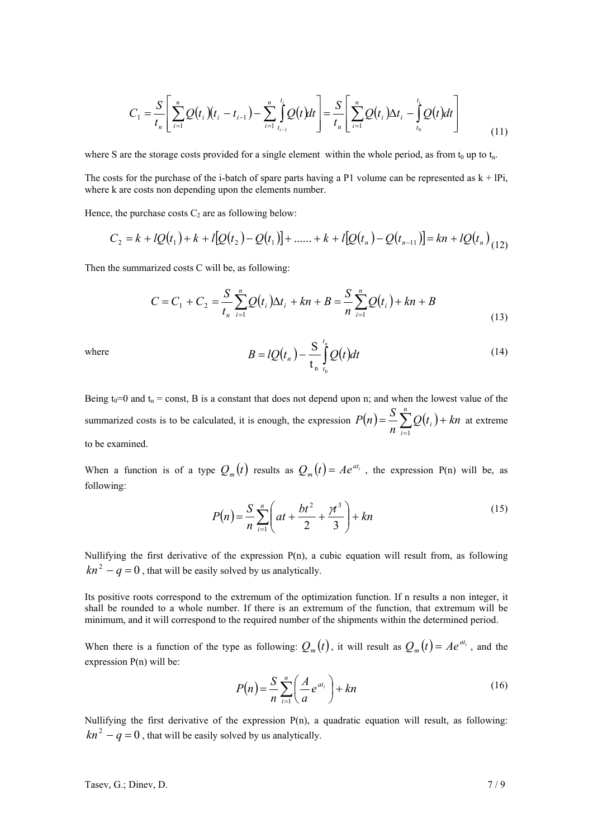$$
C_1 = \frac{S}{t_n} \left[ \sum_{i=1}^n Q(t_i) (t_i - t_{i-1}) - \sum_{i=1}^n \int_{t_{i-1}}^{t_i} Q(t) dt \right] = \frac{S}{t_n} \left[ \sum_{i=1}^n Q(t_i) \Delta t_i - \int_{t_0}^{t_i} Q(t) dt \right]
$$
(11)

where S are the storage costs provided for a single element within the whole period, as from  $t_0$  up to  $t_n$ .

The costs for the purchase of the i-batch of spare parts having a P1 volume can be represented as  $k + IP$ , where k are costs non depending upon the elements number.

Hence, the purchase costs  $C_2$  are as following below:

$$
C_2 = k + lQ(t_1) + k + l[Q(t_2) - Q(t_1)] + \dots + k + l[Q(t_n) - Q(t_{n-1})] = kn + lQ(t_n)_{(12)}
$$

Then the summarized costs С will be, as following:

$$
C = C_1 + C_2 = \frac{S}{t_n} \sum_{i=1}^n Q(t_i) \Delta t_i + kn + B = \frac{S}{n} \sum_{i=1}^n Q(t_i) + kn + B
$$
\n(13)

where 
$$
B = lQ(t_n) - \frac{S}{t_n} \int_{t_0}^{t_n} Q(t)dt
$$
 (14)

Being  $t_0=0$  and  $t_n =$  const, B is a constant that does not depend upon n; and when the lowest value of the summarized costs is to be calculated, it is enough, the expression  $P(n) = \frac{S}{n} \sum_{i=1}^{n} Q(t_i) +$ *i*  $\sum_{i=1}^{B} Q(t_i) + kn$  $P(n) = \frac{S}{n}$ 1 at extreme to be examined.

When a function is of a type  $Q_m(t)$  results as  $Q_m(t) = Ae^{at_i}$ , the expression P(n) will be, as following:

$$
P(n) = \frac{S}{n} \sum_{i=1}^{n} \left( at + \frac{bt^2}{2} + \frac{\pi^3}{3} \right) + kn
$$
\n(15)

Nullifying the first derivative of the expression P(n), a cubic equation will result from, as following  $kn^2 - q = 0$ , that will be easily solved by us analytically.

Its positive roots correspond to the extremum of the optimization function. If n results a non integer, it shall be rounded to a whole number. If there is an extremum of the function, that extremum will be minimum, and it will correspond to the required number of the shipments within the determined period.

When there is a function of the type as following:  $Q_m(t)$ , it will result as  $Q_m(t) = Ae^{at_i}$ , and the expression P(n) will be:

$$
P(n) = \frac{S}{n} \sum_{i=1}^{n} \left(\frac{A}{a} e^{at_i}\right) + kn
$$
\n(16)

Nullifying the first derivative of the expression P(n), a quadratic equation will result, as following:  $kn^2 - q = 0$ , that will be easily solved by us analytically.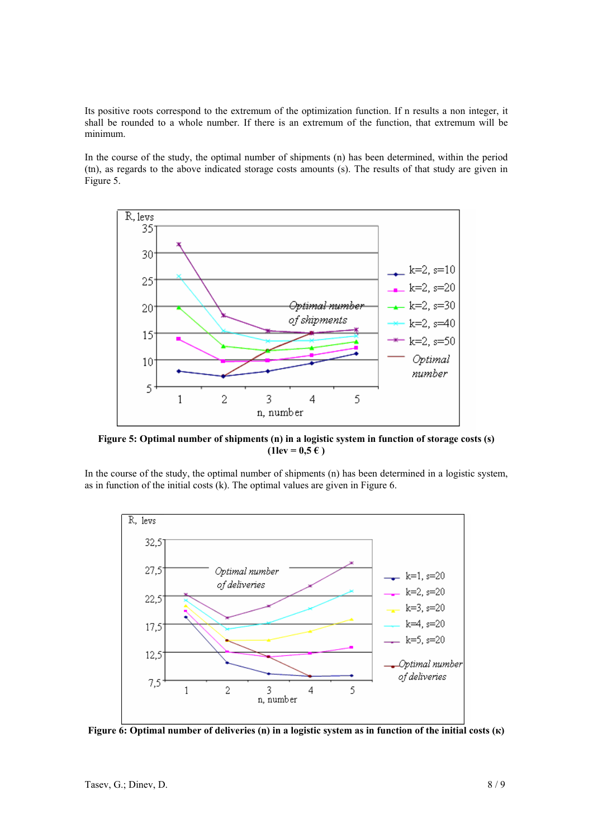Its positive roots correspond to the extremum of the optimization function. If n results a non integer, it shall be rounded to a whole number. If there is an extremum of the function, that extremum will be minimum.

In the course of the study, the optimal number of shipments (n) has been determined, within the period (tn), as regards to the above indicated storage costs amounts (s). The results of that study are given in Figure 5.



**Figure 5: Optimal number of shipments (n) in a logistic system in function of storage costs (s)**   $(1 \text{lev} = 0.5 \text{ } \infty)$ 

In the course of the study, the optimal number of shipments (n) has been determined in a logistic system, as in function of the initial costs (k). The optimal values are given in Figure 6.



**Figure 6: Optimal number of deliveries (n) in a logistic system as in function of the initial costs (к)**